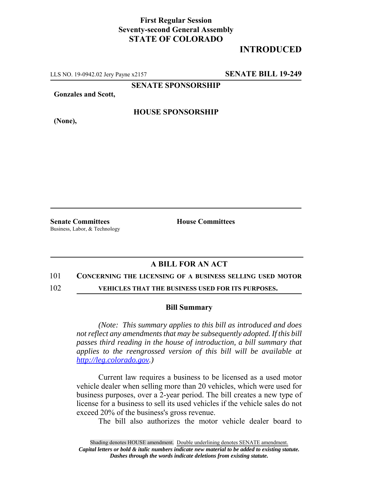## **First Regular Session Seventy-second General Assembly STATE OF COLORADO**

# **INTRODUCED**

LLS NO. 19-0942.02 Jery Payne x2157 **SENATE BILL 19-249**

**SENATE SPONSORSHIP**

**Gonzales and Scott,**

**(None),**

### **HOUSE SPONSORSHIP**

**Senate Committees House Committees** Business, Labor, & Technology

### **A BILL FOR AN ACT**

#### 101 **CONCERNING THE LICENSING OF A BUSINESS SELLING USED MOTOR**

102 **VEHICLES THAT THE BUSINESS USED FOR ITS PURPOSES.**

#### **Bill Summary**

*(Note: This summary applies to this bill as introduced and does not reflect any amendments that may be subsequently adopted. If this bill passes third reading in the house of introduction, a bill summary that applies to the reengrossed version of this bill will be available at http://leg.colorado.gov.)*

Current law requires a business to be licensed as a used motor vehicle dealer when selling more than 20 vehicles, which were used for business purposes, over a 2-year period. The bill creates a new type of license for a business to sell its used vehicles if the vehicle sales do not exceed 20% of the business's gross revenue.

The bill also authorizes the motor vehicle dealer board to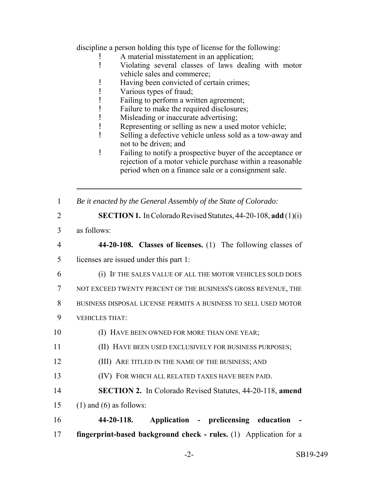discipline a person holding this type of license for the following:

- A material misstatement in an application;
- ! Violating several classes of laws dealing with motor vehicle sales and commerce;
- ! Having been convicted of certain crimes;
- ! Various types of fraud;
- ! Failing to perform a written agreement;
- ! Failure to make the required disclosures;
- ! Misleading or inaccurate advertising;
- ! Representing or selling as new a used motor vehicle;
- ! Selling a defective vehicle unless sold as a tow-away and not to be driven; and
- ! Failing to notify a prospective buyer of the acceptance or rejection of a motor vehicle purchase within a reasonable period when on a finance sale or a consignment sale.
- 1 *Be it enacted by the General Assembly of the State of Colorado:*
- 2 **SECTION 1.** In Colorado Revised Statutes, 44-20-108, **add** (1)(i)
- 3 as follows:
- 4 **44-20-108. Classes of licenses.** (1) The following classes of 5 licenses are issued under this part 1:
- 6 (i) IF THE SALES VALUE OF ALL THE MOTOR VEHICLES SOLD DOES
- 7 NOT EXCEED TWENTY PERCENT OF THE BUSINESS'S GROSS REVENUE, THE
- 8 BUSINESS DISPOSAL LICENSE PERMITS A BUSINESS TO SELL USED MOTOR
- 9 VEHICLES THAT:
- 10 **(I) HAVE BEEN OWNED FOR MORE THAN ONE YEAR**;
- 11 (II) HAVE BEEN USED EXCLUSIVELY FOR BUSINESS PURPOSES;
- 12 (III) ARE TITLED IN THE NAME OF THE BUSINESS; AND
- 13 (IV) FOR WHICH ALL RELATED TAXES HAVE BEEN PAID.
- 14 **SECTION 2.** In Colorado Revised Statutes, 44-20-118, **amend** 15 (1) and (6) as follows:
- 16 **44-20-118. Application prelicensing education -** 17 **fingerprint-based background check - rules.** (1) Application for a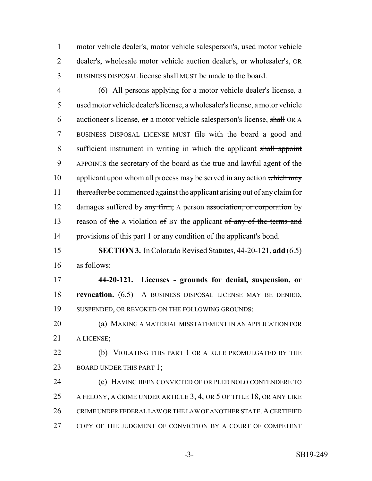motor vehicle dealer's, motor vehicle salesperson's, used motor vehicle 2 dealer's, wholesale motor vehicle auction dealer's, or wholesaler's, OR BUSINESS DISPOSAL license shall MUST be made to the board.

 (6) All persons applying for a motor vehicle dealer's license, a used motor vehicle dealer's license, a wholesaler's license, a motor vehicle auctioneer's license, or a motor vehicle salesperson's license, shall OR A BUSINESS DISPOSAL LICENSE MUST file with the board a good and 8 sufficient instrument in writing in which the applicant shall appoint APPOINTS the secretary of the board as the true and lawful agent of the 10 applicant upon whom all process may be served in any action which may 11 thereafter be commenced against the applicant arising out of any claim for 12 damages suffered by any firm, A person association, or corporation by 13 reason of the A violation of BY the applicant of any of the terms and 14 provisions of this part 1 or any condition of the applicant's bond.

 **SECTION 3.** In Colorado Revised Statutes, 44-20-121, **add** (6.5) as follows:

 **44-20-121. Licenses - grounds for denial, suspension, or revocation.** (6.5) A BUSINESS DISPOSAL LICENSE MAY BE DENIED, SUSPENDED, OR REVOKED ON THE FOLLOWING GROUNDS:

 (a) MAKING A MATERIAL MISSTATEMENT IN AN APPLICATION FOR A LICENSE;

**(b)** VIOLATING THIS PART 1 OR A RULE PROMULGATED BY THE 23 BOARD UNDER THIS PART 1;

 (c) HAVING BEEN CONVICTED OF OR PLED NOLO CONTENDERE TO 25 A FELONY, A CRIME UNDER ARTICLE 3, 4, OR 5 OF TITLE 18, OR ANY LIKE 26 CRIME UNDER FEDERAL LAW OR THE LAW OF ANOTHER STATE. A CERTIFIED COPY OF THE JUDGMENT OF CONVICTION BY A COURT OF COMPETENT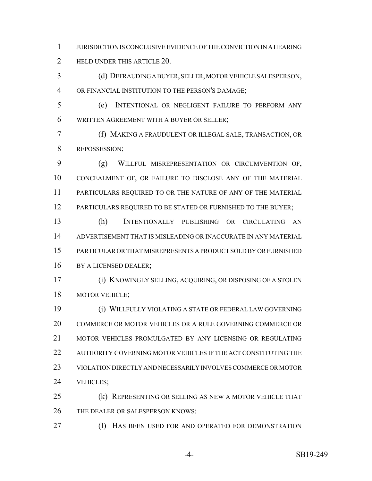JURISDICTION IS CONCLUSIVE EVIDENCE OF THE CONVICTION IN A HEARING **HELD UNDER THIS ARTICLE 20.** 

 (d) DEFRAUDING A BUYER, SELLER, MOTOR VEHICLE SALESPERSON, OR FINANCIAL INSTITUTION TO THE PERSON'S DAMAGE;

 (e) INTENTIONAL OR NEGLIGENT FAILURE TO PERFORM ANY WRITTEN AGREEMENT WITH A BUYER OR SELLER;

 (f) MAKING A FRAUDULENT OR ILLEGAL SALE, TRANSACTION, OR REPOSSESSION;

 (g) WILLFUL MISREPRESENTATION OR CIRCUMVENTION OF, CONCEALMENT OF, OR FAILURE TO DISCLOSE ANY OF THE MATERIAL PARTICULARS REQUIRED TO OR THE NATURE OF ANY OF THE MATERIAL 12 PARTICULARS REQUIRED TO BE STATED OR FURNISHED TO THE BUYER;

 (h) INTENTIONALLY PUBLISHING OR CIRCULATING AN ADVERTISEMENT THAT IS MISLEADING OR INACCURATE IN ANY MATERIAL PARTICULAR OR THAT MISREPRESENTS A PRODUCT SOLD BY OR FURNISHED 16 BY A LICENSED DEALER;

 (i) KNOWINGLY SELLING, ACQUIRING, OR DISPOSING OF A STOLEN MOTOR VEHICLE;

 (j) WILLFULLY VIOLATING A STATE OR FEDERAL LAW GOVERNING COMMERCE OR MOTOR VEHICLES OR A RULE GOVERNING COMMERCE OR 21 MOTOR VEHICLES PROMULGATED BY ANY LICENSING OR REGULATING AUTHORITY GOVERNING MOTOR VEHICLES IF THE ACT CONSTITUTING THE VIOLATION DIRECTLY AND NECESSARILY INVOLVES COMMERCE OR MOTOR VEHICLES;

 (k) REPRESENTING OR SELLING AS NEW A MOTOR VEHICLE THAT THE DEALER OR SALESPERSON KNOWS:

(I) HAS BEEN USED FOR AND OPERATED FOR DEMONSTRATION